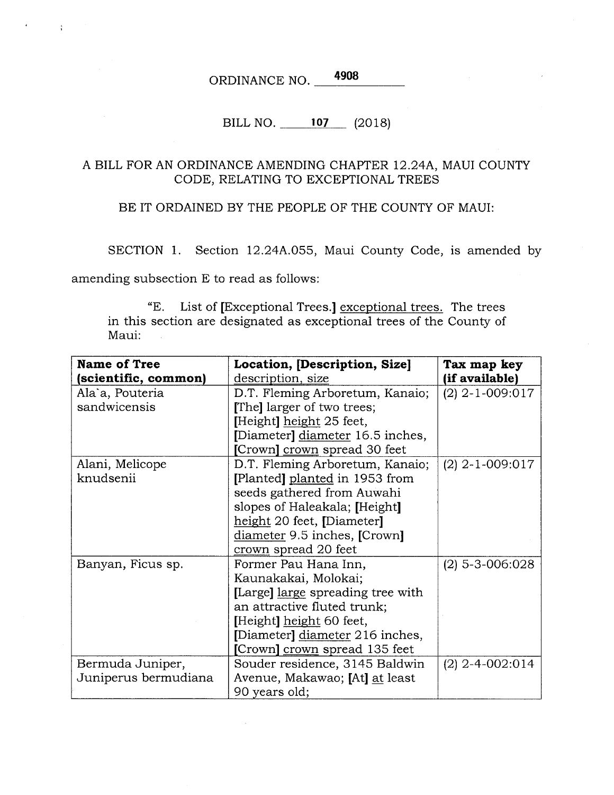ORDINANCE NO. 4908

## BILL NO. 107 (2018)

## A BILL FOR AN ORDINANCE AMENDING CHAPTER 12.24A, MAUI COUNTY CODE, RELATING TO EXCEPTIONAL TREES

BE IT ORDAINED BY THE PEOPLE OF THE COUNTY OF MAUI:

SECTION 1. Section 12.24A.055, Maui County Code, is amended by

amending subsection E to read as follows:

 $\ddot{\phantom{a}}$ 

"E. List of [Exceptional Trees.] exceptional trees. The trees in this section are designated as exceptional trees of the County of Maui:

| <b>Name of Tree</b>  | Location, [Description, Size]     | Tax map key       |
|----------------------|-----------------------------------|-------------------|
| (scientific, common) | description, size                 | (if available)    |
| Ala`a, Pouteria      | D.T. Fleming Arboretum, Kanaio;   | $(2)$ 2-1-009:017 |
| sandwicensis         | [The] larger of two trees;        |                   |
|                      | [Height] height 25 feet,          |                   |
|                      | [Diameter] diameter 16.5 inches,  |                   |
|                      | [Crown] crown spread 30 feet      |                   |
| Alani, Melicope      | D.T. Fleming Arboretum, Kanaio;   | $(2)$ 2-1-009:017 |
| knudsenii            | [Planted] planted in 1953 from    |                   |
|                      | seeds gathered from Auwahi        |                   |
|                      | slopes of Haleakala; [Height]     |                   |
|                      | height 20 feet, [Diameter]        |                   |
|                      | diameter 9.5 inches, [Crown]      |                   |
|                      | crown spread 20 feet              |                   |
| Banyan, Ficus sp.    | Former Pau Hana Inn,              | $(2)$ 5-3-006:028 |
|                      | Kaunakakai, Molokai;              |                   |
|                      | [Large] large spreading tree with |                   |
|                      | an attractive fluted trunk;       |                   |
|                      | [Height] height 60 feet,          |                   |
|                      | [Diameter] diameter 216 inches,   |                   |
|                      | [Crown] crown spread 135 feet     |                   |
| Bermuda Juniper,     | Souder residence, 3145 Baldwin    | $(2)$ 2-4-002:014 |
| Juniperus bermudiana | Avenue, Makawao; [At] at least    |                   |
|                      | 90 years old;                     |                   |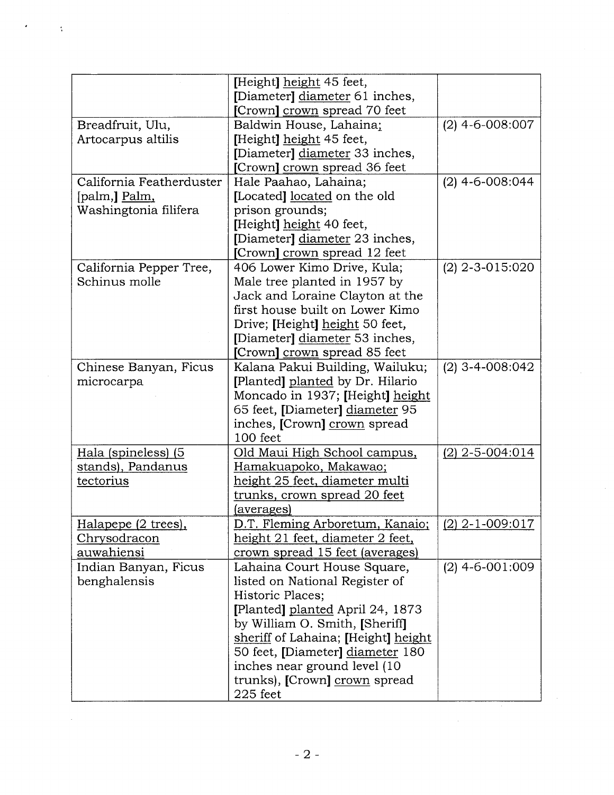|                          | [Height] height 45 feet,            |                   |
|--------------------------|-------------------------------------|-------------------|
|                          | [Diameter] diameter 61 inches,      |                   |
|                          | [Crown] crown spread 70 feet        |                   |
| Breadfruit, Ulu,         | Baldwin House, Lahaina;             | $(2)$ 4-6-008:007 |
| Artocarpus altilis       | [Height] height 45 feet,            |                   |
|                          | [Diameter] diameter 33 inches,      |                   |
|                          | [Crown] crown spread 36 feet        |                   |
| California Featherduster | Hale Paahao, Lahaina;               | $(2)$ 4-6-008:044 |
| [palm,] Palm,            | [Located] located on the old        |                   |
| Washingtonia filifera    | prison grounds;                     |                   |
|                          | [Height] height 40 feet,            |                   |
|                          | [Diameter] diameter 23 inches,      |                   |
|                          | [Crown] crown spread 12 feet        |                   |
| California Pepper Tree,  | 406 Lower Kimo Drive, Kula;         | $(2)$ 2-3-015:020 |
| Schinus molle            | Male tree planted in 1957 by        |                   |
|                          | Jack and Loraine Clayton at the     |                   |
|                          | first house built on Lower Kimo     |                   |
|                          | Drive; [Height] height 50 feet,     |                   |
|                          | [Diameter] diameter 53 inches,      |                   |
|                          | [Crown] crown spread 85 feet        |                   |
| Chinese Banyan, Ficus    | Kalana Pakui Building, Wailuku;     | $(2)$ 3-4-008:042 |
| microcarpa               | [Planted] planted by Dr. Hilario    |                   |
|                          | Moncado in 1937; [Height] height    |                   |
|                          | 65 feet, [Diameter] diameter 95     |                   |
|                          | inches, [Crown] crown spread        |                   |
|                          | 100 feet                            |                   |
| Hala (spineless) (5      | Old Maui High School campus,        | $(2)$ 2-5-004:014 |
| stands), Pandanus        | Hamakuapoko, Makawao;               |                   |
| tectorius                | height 25 feet, diameter multi      |                   |
|                          | trunks, crown spread 20 feet        |                   |
|                          | <u>(averages)</u>                   |                   |
| Halapepe (2 trees),      | D.T. Fleming Arboretum, Kanaio;     | $(2)$ 2-1-009:017 |
| <u>Chrysodracon</u>      | height 21 feet, diameter 2 feet,    |                   |
| auwahiensi               | crown spread 15 feet (averages)     |                   |
| Indian Banyan, Ficus     | Lahaina Court House Square,         | $(2)$ 4-6-001:009 |
| benghalensis             | listed on National Register of      |                   |
|                          | Historic Places;                    |                   |
|                          | [Planted] planted April 24, 1873    |                   |
|                          | by William O. Smith, [Sheriff]      |                   |
|                          | sheriff of Lahaina; [Height] height |                   |
|                          | 50 feet, [Diameter] diameter 180    |                   |
|                          | inches near ground level (10        |                   |
|                          | trunks), [Crown] crown spread       |                   |
|                          | $225$ feet                          |                   |
|                          |                                     |                   |

 $\frac{1}{2}$ 

 $\epsilon$ 

 $\sim 10^{-4}$ 

 $\sim 10^6$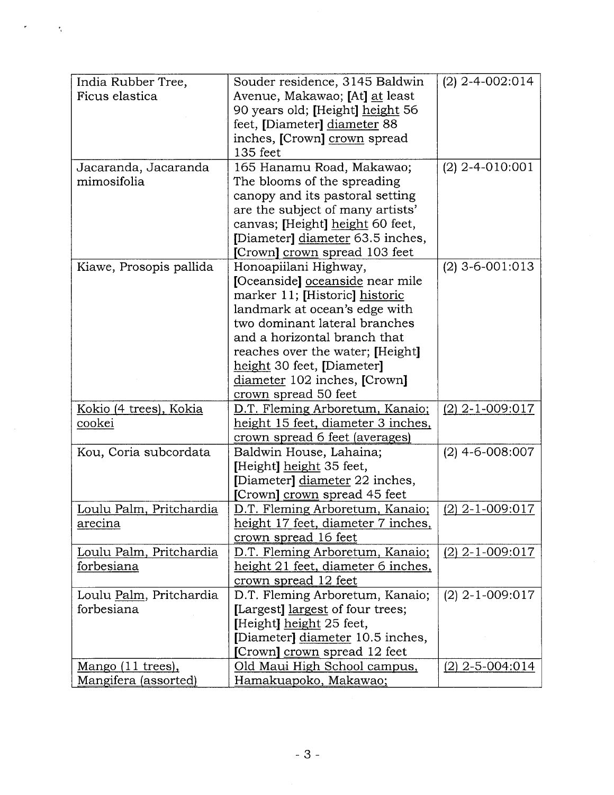| India Rubber Tree,      | Souder residence, 3145 Baldwin                        | $(2)$ 2-4-002:014 |
|-------------------------|-------------------------------------------------------|-------------------|
| Ficus elastica          | Avenue, Makawao; [At] at least                        |                   |
|                         | 90 years old; [Height] height 56                      |                   |
|                         | feet, [Diameter] diameter 88                          |                   |
|                         | inches, [Crown] crown spread                          |                   |
|                         | 135 feet                                              |                   |
| Jacaranda, Jacaranda    | 165 Hanamu Road, Makawao;                             | $(2)$ 2-4-010:001 |
| mimosifolia             | The blooms of the spreading                           |                   |
|                         | canopy and its pastoral setting                       |                   |
|                         | are the subject of many artists'                      |                   |
|                         | canvas; [Height] height 60 feet,                      |                   |
|                         | [Diameter] diameter 63.5 inches,                      |                   |
|                         | [Crown] crown spread 103 feet                         |                   |
| Kiawe, Prosopis pallida | Honoapiilani Highway,                                 | $(2)$ 3-6-001:013 |
|                         | [Oceanside] oceanside near mile                       |                   |
|                         | marker 11; [Historic] historic                        |                   |
|                         | landmark at ocean's edge with                         |                   |
|                         | two dominant lateral branches                         |                   |
|                         | and a horizontal branch that                          |                   |
|                         | reaches over the water; [Height]                      |                   |
|                         | height 30 feet, [Diameter]                            |                   |
|                         | diameter 102 inches, [Crown]                          |                   |
|                         | crown spread 50 feet                                  |                   |
| Kokio (4 trees), Kokia  | D.T. Fleming Arboretum, Kanaio;                       | $(2)$ 2-1-009:017 |
| cookei                  | height 15 feet, diameter 3 inches,                    |                   |
|                         | crown spread 6 feet (averages)                        |                   |
| Kou, Coria subcordata   | Baldwin House, Lahaina;                               | $(2)$ 4-6-008:007 |
|                         | [Height] height 35 feet,                              |                   |
|                         | [Diameter] diameter 22 inches,                        |                   |
|                         | [Crown] crown spread 45 feet                          |                   |
| Loulu Palm, Pritchardia | D.T. Fleming Arboretum, Kanaio;                       | $(2)$ 2-1-009:017 |
| <u>arecina</u>          | height 17 feet, diameter 7 inches,                    |                   |
|                         | crown spread 16 feet                                  |                   |
| Loulu Palm, Pritchardia | D.T. Fleming Arboretum, Kanaio;                       |                   |
|                         |                                                       | $(2)$ 2-1-009:017 |
| forbesiana              | height 21 feet, diameter 6 inches,                    |                   |
|                         | crown spread 12 feet                                  |                   |
| Loulu Palm, Pritchardia | D.T. Fleming Arboretum, Kanaio;                       | $(2)$ 2-1-009:017 |
| forbesiana              | [Largest] largest of four trees;                      |                   |
|                         | [Height] height 25 feet,                              |                   |
|                         | [Diameter] diameter 10.5 inches,                      |                   |
|                         | [Crown] crown spread 12 feet                          |                   |
| Mango (11 trees),       | Old Maui High School campus,<br>Hamakuapoko, Makawao; | $(2)$ 2-5-004:014 |

 $\sim 5$ 

4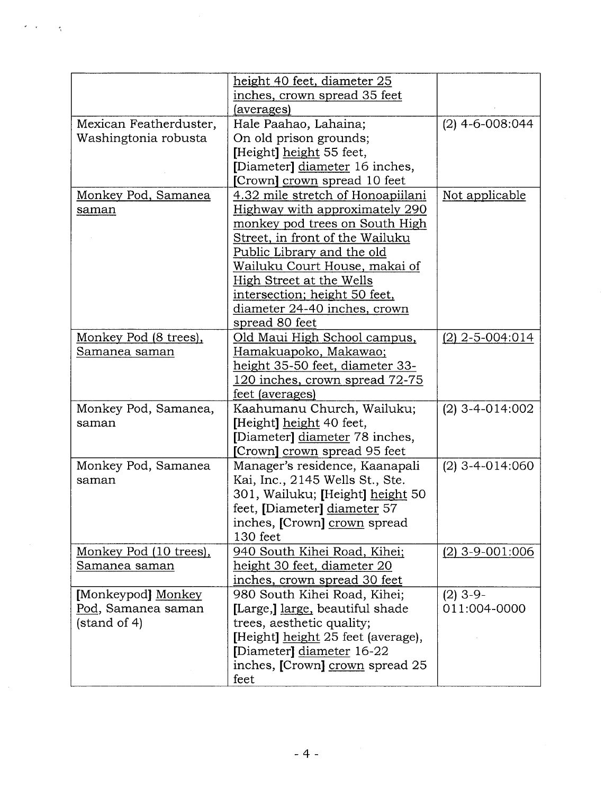|                        | height 40 feet, diameter 25          |                   |
|------------------------|--------------------------------------|-------------------|
|                        | inches, crown spread 35 feet         |                   |
|                        | (averages)                           |                   |
| Mexican Featherduster, | Hale Paahao, Lahaina;                | $(2)$ 4-6-008:044 |
| Washingtonia robusta   | On old prison grounds;               |                   |
|                        | [Height] height 55 feet,             |                   |
|                        | [Diameter] diameter 16 inches,       |                   |
|                        | [Crown] crown spread 10 feet         |                   |
| Monkey Pod, Samanea    | 4.32 mile stretch of Honoapiilani    | Not applicable    |
|                        | Highway with approximately 290       |                   |
| saman                  |                                      |                   |
|                        | monkey pod trees on South High       |                   |
|                        | Street, in front of the Wailuku      |                   |
|                        | Public Library and the old           |                   |
|                        | <u>Wailuku Court House, makai of</u> |                   |
|                        | High Street at the Wells             |                   |
|                        | intersection; height 50 feet,        |                   |
|                        | diameter 24-40 inches, crown         |                   |
|                        | spread 80 feet                       |                   |
| Monkey Pod (8 trees),  | Old Maui High School campus,         | $(2)$ 2-5-004:014 |
| Samanea saman          | Hamakuapoko, Makawao;                |                   |
|                        | height 35-50 feet, diameter 33-      |                   |
|                        | 120 inches, crown spread 72-75       |                   |
|                        | feet (averages)                      |                   |
| Monkey Pod, Samanea,   | Kaahumanu Church, Wailuku;           | $(2)$ 3-4-014:002 |
| saman                  | [Height] height 40 feet,             |                   |
|                        | [Diameter] diameter 78 inches,       |                   |
|                        | [Crown] crown spread 95 feet         |                   |
| Monkey Pod, Samanea    | Manager's residence, Kaanapali       | $(2)$ 3-4-014:060 |
| saman                  | Kai, Inc., 2145 Wells St., Ste.      |                   |
|                        | 301, Wailuku; [Height] height 50     |                   |
|                        |                                      |                   |
|                        | feet, [Diameter] diameter 57         |                   |
|                        | inches, [Crown] crown spread         |                   |
|                        | 130 feet                             |                   |
| Monkey Pod (10 trees), | 940 South Kihei Road, Kihei;         | $(2)$ 3-9-001:006 |
| Samanea saman          | height 30 feet, diameter 20          |                   |
|                        | inches, crown spread 30 feet         |                   |
| [Monkeypod] Monkey     | 980 South Kihei Road, Kihei;         | $(2)$ 3-9-        |
| Pod, Samanea saman     | [Large,] large, beautiful shade      | 011:004-0000      |
| (statard of 4)         | trees, aesthetic quality;            |                   |
|                        | [Height] height 25 feet (average),   |                   |
|                        | [Diameter] diameter 16-22            |                   |
|                        | inches, [Crown] crown spread 25      |                   |
|                        | feet                                 |                   |

 $\hat{\gamma}$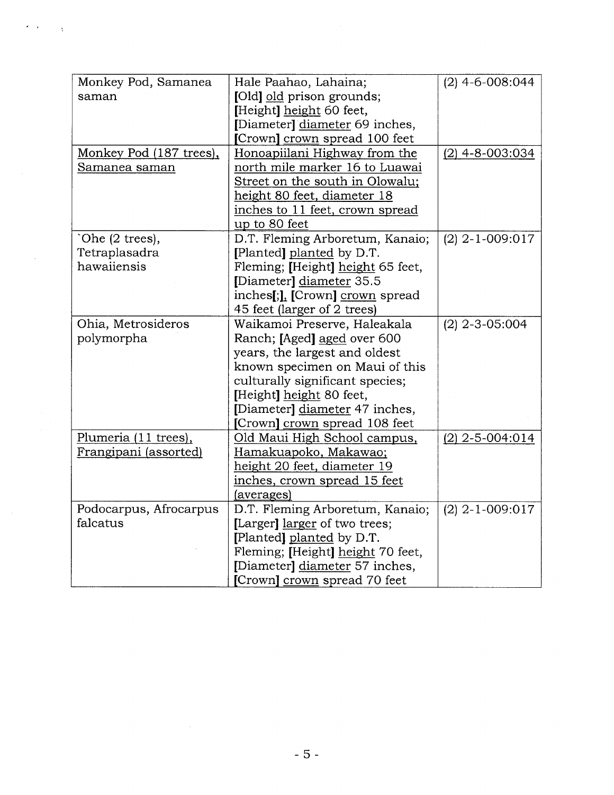| Monkey Pod, Samanea     | Hale Paahao, Lahaina;              | $(2)$ 4-6-008:044 |
|-------------------------|------------------------------------|-------------------|
| saman                   | [Old] old prison grounds;          |                   |
|                         | [Height] height 60 feet,           |                   |
|                         | [Diameter] diameter 69 inches,     |                   |
|                         | [Crown] crown spread 100 feet      |                   |
| Monkey Pod (187 trees), | Honoapiilani Highway from the      | $(2)$ 4-8-003:034 |
| Samanea saman           | north mile marker 16 to Luawai     |                   |
|                         | Street on the south in Olowalu;    |                   |
|                         | height 80 feet, diameter 18        |                   |
|                         | inches to 11 feet, crown spread    |                   |
|                         | up to 80 feet                      |                   |
| `Ohe (2 trees),         | D.T. Fleming Arboretum, Kanaio;    | $(2)$ 2-1-009:017 |
| Tetraplasadra           | [Planted] planted by D.T.          |                   |
| hawaiiensis             | Fleming; [Height] height 65 feet,  |                   |
|                         | [Diameter] diameter 35.5           |                   |
|                         | inches[;], [Crown] crown spread    |                   |
|                         | 45 feet (larger of 2 trees)        |                   |
| Ohia, Metrosideros      | Waikamoi Preserve, Haleakala       | $(2)$ 2-3-05:004  |
| polymorpha              | Ranch; [Aged] aged over 600        |                   |
|                         | years, the largest and oldest      |                   |
|                         | known specimen on Maui of this     |                   |
|                         | culturally significant species;    |                   |
|                         | [Height] height 80 feet,           |                   |
|                         | [Diameter] diameter 47 inches,     |                   |
|                         | [Crown] crown spread 108 feet      |                   |
| Plumeria (11 trees),    | Old Maui High School campus,       | $(2)$ 2-5-004:014 |
| Frangipani (assorted)   | Hamakuapoko, Makawao;              |                   |
|                         | <u>height 20 feet, diameter 19</u> |                   |
|                         | inches, crown spread 15 feet       |                   |
|                         | (averages)                         |                   |
| Podocarpus, Afrocarpus  | D.T. Fleming Arboretum, Kanaio;    | $(2)$ 2-1-009:017 |
| falcatus                | [Larger] larger of two trees;      |                   |
|                         | [Planted] planted by D.T.          |                   |
|                         | Fleming; [Height] height 70 feet,  |                   |
|                         | [Diameter] diameter 57 inches,     |                   |
|                         | [Crown] crown spread 70 feet       |                   |

 $\epsilon$  ,  $\epsilon$  ,  $\epsilon$  ,  $\chi$ 

 $\mathcal{A}^{\mathcal{A}}$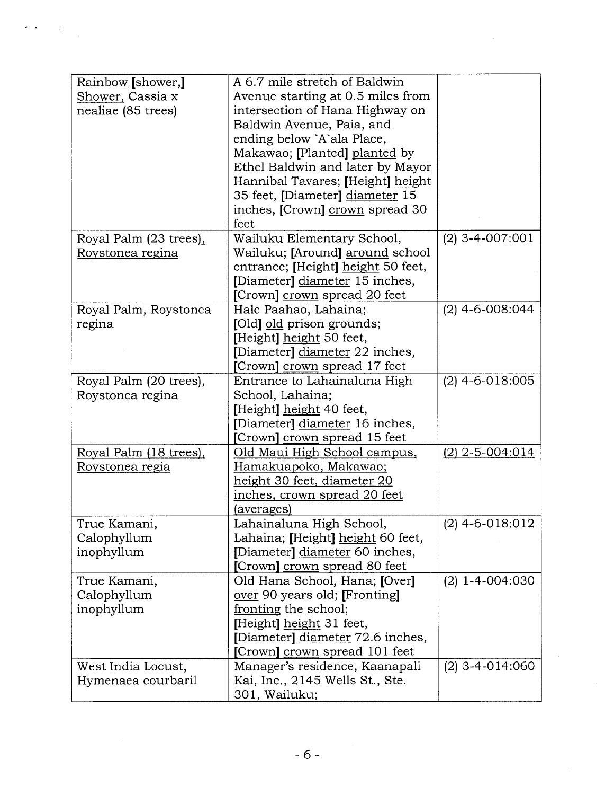| Rainbow [shower,]      | A 6.7 mile stretch of Baldwin      |                   |
|------------------------|------------------------------------|-------------------|
| Shower, Cassia x       | Avenue starting at 0.5 miles from  |                   |
| nealiae (85 trees)     | intersection of Hana Highway on    |                   |
|                        | Baldwin Avenue, Paia, and          |                   |
|                        | ending below `A`ala Place,         |                   |
|                        | Makawao; [Planted] planted by      |                   |
|                        | Ethel Baldwin and later by Mayor   |                   |
|                        | Hannibal Tavares; [Height] height  |                   |
|                        | 35 feet, [Diameter] diameter 15    |                   |
|                        | inches, [Crown] crown spread 30    |                   |
|                        | feet                               |                   |
| Royal Palm (23 trees), | Wailuku Elementary School,         | $(2)$ 3-4-007:001 |
| Roystonea regina       | Wailuku; [Around] around school    |                   |
|                        | entrance; [Height] height 50 feet, |                   |
|                        | [Diameter] diameter 15 inches,     |                   |
|                        | [Crown] crown spread 20 feet       |                   |
| Royal Palm, Roystonea  | Hale Paahao, Lahaina;              | $(2)$ 4-6-008:044 |
| regina                 | [Old] old prison grounds;          |                   |
|                        | [Height] height 50 feet,           |                   |
|                        | [Diameter] diameter 22 inches,     |                   |
|                        | [Crown] crown spread 17 feet       |                   |
| Royal Palm (20 trees), | Entrance to Lahainaluna High       | $(2)$ 4-6-018:005 |
| Roystonea regina       | School, Lahaina;                   |                   |
|                        | [Height] height 40 feet,           |                   |
|                        | [Diameter] diameter 16 inches,     |                   |
|                        | [Crown] crown spread 15 feet       |                   |
| Royal Palm (18 trees), | Old Maui High School campus,       | $(2)$ 2-5-004:014 |
| Roystonea regia        | Hamakuapoko, Makawao;              |                   |
|                        | height 30 feet, diameter 20        |                   |
|                        | inches, crown spread 20 feet       |                   |
|                        | (averages)                         |                   |
| True Kamani,           | Lahainaluna High School,           | $(2)$ 4-6-018:012 |
| Calophyllum            | Lahaina; [Height] height 60 feet,  |                   |
| inophyllum             | [Diameter] diameter 60 inches,     |                   |
|                        | [Crown] crown spread 80 feet       |                   |
| True Kamani,           | Old Hana School, Hana; [Over]      | $(2)$ 1-4-004:030 |
| Calophyllum            | over 90 years old; [Fronting]      |                   |
| inophyllum             | fronting the school;               |                   |
|                        | [Height] height 31 feet,           |                   |
|                        | [Diameter] diameter 72.6 inches,   |                   |
|                        | [Crown] crown spread 101 feet      |                   |
| West India Locust,     | Manager's residence, Kaanapali     | $(2)$ 3-4-014:060 |
| Hymenaea courbaril     | Kai, Inc., 2145 Wells St., Ste.    |                   |
|                        | 301, Wailuku;                      |                   |

 $\epsilon = \frac{1}{\sqrt{2}}$ 

 $\sim 2$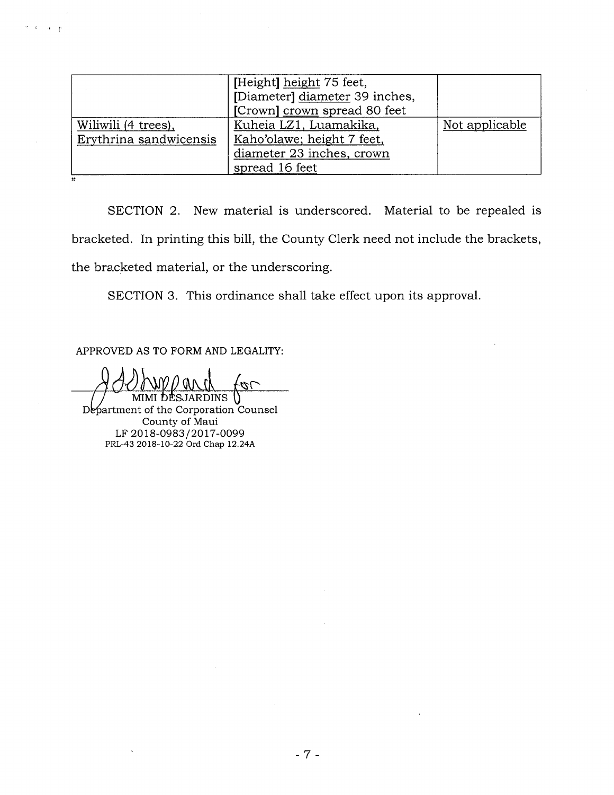| [Height] height 75 feet,       |                              |
|--------------------------------|------------------------------|
| [Diameter] diameter 39 inches, |                              |
|                                |                              |
| Kuheia LZ1, Luamakika,         | Not applicable               |
| Kaho'olawe; height 7 feet,     |                              |
| diameter 23 inches, crown      |                              |
| spread 16 feet                 |                              |
|                                | [Crown] crown spread 80 feet |

SECTION 2. New material is underscored. Material to be repealed is bracketed. In printing this bill, the County Clerk need not include the brackets, the bracketed material, or the underscoring.

SECTION 3. This ordinance shall take effect upon its approval.

APPROVED AS TO FORM AND LEGALITY:

 $\mathcal{A}=\mathcal{B}$ 

 $\overline{\mathcal{C}}$ MIMI DESJARDINS **\}** 

Department of the Corporation Counsel County of Maui LF 2018-0983/2017-0099 PRL-43 2018-10-22 Ord chap 12.24A